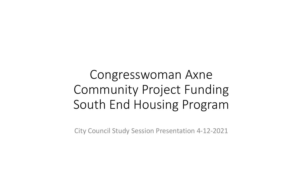# Congresswoman Axne Community Project Funding South End Housing Program

City Council Study Session Presentation 4-12-2021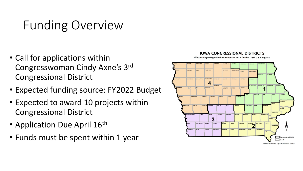# Funding Overview

- Call for applications within Congresswoman Cindy Axne's 3rd Congressional District
- Expected funding source: FY2022 Budget
- Expected to award 10 projects within Congressional District
- Application Due April 16th
- Funds must be spent within 1 year

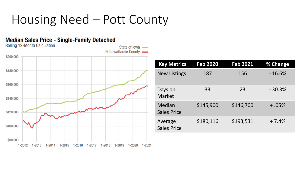# Housing Need – Pott County

#### **Median Sales Price - Single-Family Detached**



| <b>Key Metrics</b>            | <b>Feb 2020</b> | <b>Feb 2021</b> | % Change |
|-------------------------------|-----------------|-----------------|----------|
| <b>New Listings</b>           | 187             | 156             | $-16.6%$ |
| Days on<br><b>Market</b>      | 33              | 23              | $-30.3%$ |
| Median<br><b>Sales Price</b>  | \$145,900       | \$146,700       | $+0.5%$  |
| Average<br><b>Sales Price</b> | \$180,116       | \$193,531       | $+7.4%$  |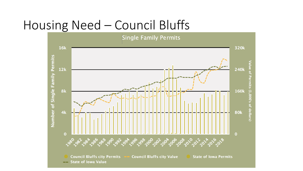#### Housing Need – Council Bluffs

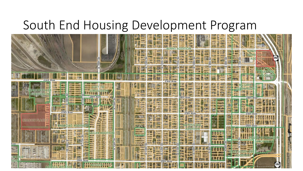#### South End Housing Development Program

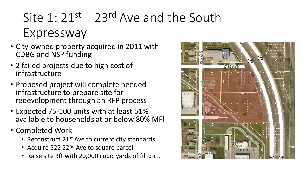# Site  $1:21^{st}-23^{rd}$  Ave and the South Expressway

- City-owned property acquired in 2011 with CDBG and NSP funding
- 2 failed projects due to high cost of infrastructure
- Proposed project will complete needed infrastructure to prepare site for redevelopment through an RFP process
- Expected 75-100 units with at least 51% available to households at or below 80% MFI
- Completed Work
	- Reconstruct  $21^{st}$  Ave to current city standards
	- Acquire 522 22<sup>nd</sup> Ave to square parcel
	- Raise site 3ft with 20,000 cubic yards of fill dirt.

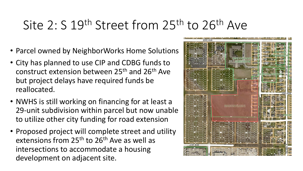# Site 2: S 19<sup>th</sup> Street from 25<sup>th</sup> to 26<sup>th</sup> Ave

- Parcel owned by NeighborWorks Home Solutions
- City has planned to use CIP and CDBG funds to construct extension between 25th and 26th Ave but project delays have required funds be reallocated.
- NWHS is still working on financing for at least a 29-unit subdivision within parcel but now unable to utilize other city funding for road extension
- Proposed project will complete street and utility extensions from 25<sup>th</sup> to 26<sup>th</sup> Ave as well as intersections to accommodate a housing development on adjacent site.

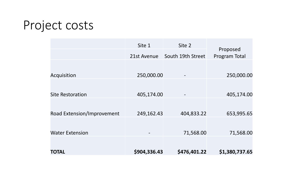# Project costs

|                            | Site 1                   | Site 2            |                           |
|----------------------------|--------------------------|-------------------|---------------------------|
|                            | 21st Avenue              | South 19th Street | Proposed<br>Program Total |
|                            |                          |                   |                           |
| Acquisition                | 250,000.00               |                   | 250,000.00                |
|                            |                          |                   |                           |
| <b>Site Restoration</b>    | 405,174.00               |                   | 405,174.00                |
|                            |                          |                   |                           |
| Road Extension/Improvement | 249,162.43               | 404,833.22        | 653,995.65                |
|                            |                          |                   |                           |
| <b>Water Extension</b>     | $\overline{\phantom{a}}$ | 71,568.00         | 71,568.00                 |
|                            |                          |                   |                           |
| <b>TOTAL</b>               | \$904,336.43             | \$476,401.22      | \$1,380,737.65            |